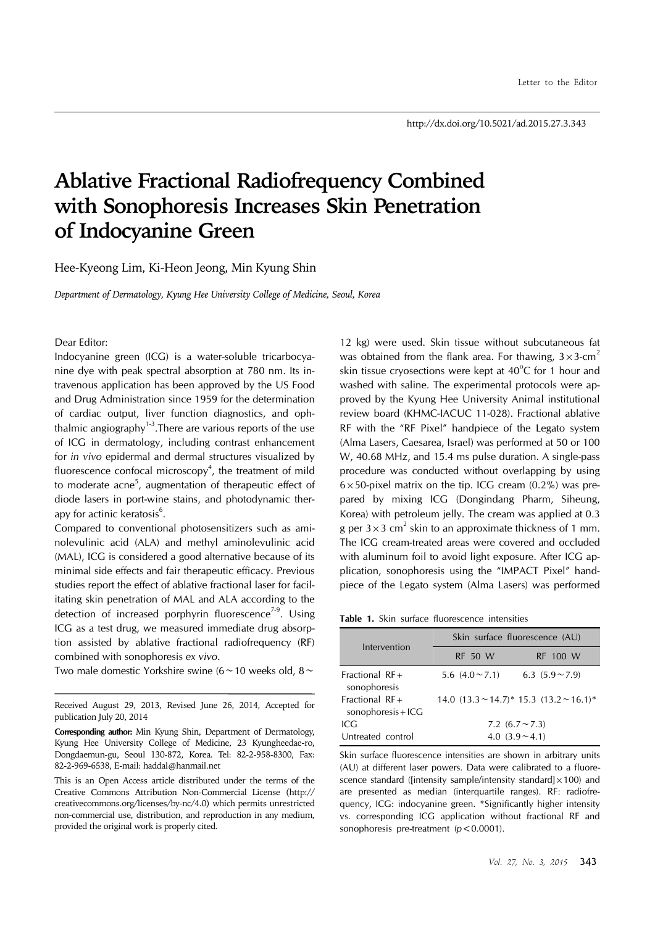## **Ablative Fractional Radiofrequency Combined with Sonophoresis Increases Skin Penetration of Indocyanine Green**

Hee-Kyeong Lim, Ki-Heon Jeong, Min Kyung Shin

*Department of Dermatology, Kyung Hee University College of Medicine, Seoul, Korea*

Dear Editor:

Indocyanine green (ICG) is a water-soluble tricarbocyanine dye with peak spectral absorption at 780 nm. Its intravenous application has been approved by the US Food and Drug Administration since 1959 for the determination of cardiac output, liver function diagnostics, and ophthalmic angiography<sup>1-3</sup>. There are various reports of the use of ICG in dermatology, including contrast enhancement for *in vivo* epidermal and dermal structures visualized by fluorescence confocal microscopy<sup>4</sup>, the treatment of mild to moderate acne<sup>5</sup>, augmentation of therapeutic effect of diode lasers in port-wine stains, and photodynamic therapy for actinic keratosis<sup>6</sup>.

Compared to conventional photosensitizers such as aminolevulinic acid (ALA) and methyl aminolevulinic acid (MAL), ICG is considered a good alternative because of its minimal side effects and fair therapeutic efficacy. Previous studies report the effect of ablative fractional laser for facilitating skin penetration of MAL and ALA according to the detection of increased porphyrin fluorescence<sup> $7-9$ </sup>. Using ICG as a test drug, we measured immediate drug absorption assisted by ablative fractional radiofrequency (RF) combined with sonophoresis *ex vivo*.

Two male domestic Yorkshire swine (6∼10 weeks old, 8∼

12 kg) were used. Skin tissue without subcutaneous fat was obtained from the flank area. For thawing,  $3 \times 3$ -cm<sup>2</sup> skin tissue cryosections were kept at  $40^{\circ}$ C for 1 hour and washed with saline. The experimental protocols were approved by the Kyung Hee University Animal institutional review board (KHMC-IACUC 11-028). Fractional ablative RF with the "RF Pixel" handpiece of the Legato system (Alma Lasers, Caesarea, Israel) was performed at 50 or 100 W, 40.68 MHz, and 15.4 ms pulse duration. A single-pass procedure was conducted without overlapping by using  $6\times50$ -pixel matrix on the tip. ICG cream (0.2%) was prepared by mixing ICG (Dongindang Pharm, Siheung, Korea) with petroleum jelly. The cream was applied at 0.3 g per  $3 \times 3$  cm<sup>2</sup> skin to an approximate thickness of 1 mm. The ICG cream-treated areas were covered and occluded with aluminum foil to avoid light exposure. After ICG application, sonophoresis using the "IMPACT Pixel" handpiece of the Legato system (Alma Lasers) was performed

**Table 1.** Skin surface fluorescence intensities

| Intervention                              | Skin surface fluorescence (AU) |                                                     |
|-------------------------------------------|--------------------------------|-----------------------------------------------------|
|                                           | <b>RF 50 W</b>                 | RF 100 W                                            |
| Fractional $RF +$<br>sonophoresis         | 5.6 $(4.0 \sim 7.1)$           | 6.3 $(5.9 \sim 7.9)$                                |
| Fractional $RF +$<br>sonophoresis + $ICG$ |                                | 14.0 $(13.3 \sim 14.7)^*$ 15.3 $(13.2 \sim 16.1)^*$ |
| ICG                                       | 7.2 $(6.7 \sim 7.3)$           |                                                     |
| Untreated control                         | 4.0 $(3.9 \sim 4.1)$           |                                                     |

Skin surface fluorescence intensities are shown in arbitrary units (AU) at different laser powers. Data were calibrated to a fluorescence standard ([intensity sample/intensity standard] $\times$ 100) and are presented as median (interquartile ranges). RF: radiofrequency, ICG: indocyanine green. \*Significantly higher intensity vs. corresponding ICG application without fractional RF and sonophoresis pre-treatment (*p*<0.0001).

Received August 29, 2013, Revised June 26, 2014, Accepted for publication July 20, 2014

**Corresponding author:** Min Kyung Shin, Department of Dermatology, Kyung Hee University College of Medicine, 23 Kyungheedae-ro, Dongdaemun-gu, Seoul 130-872, Korea. Tel: 82-2-958-8300, Fax: 82-2-969-6538, E-mail: haddal@hanmail.net

This is an Open Access article distributed under the terms of the Creative Commons Attribution Non-Commercial License (http:// creativecommons.org/licenses/by-nc/4.0) which permits unrestricted non-commercial use, distribution, and reproduction in any medium, provided the original work is properly cited.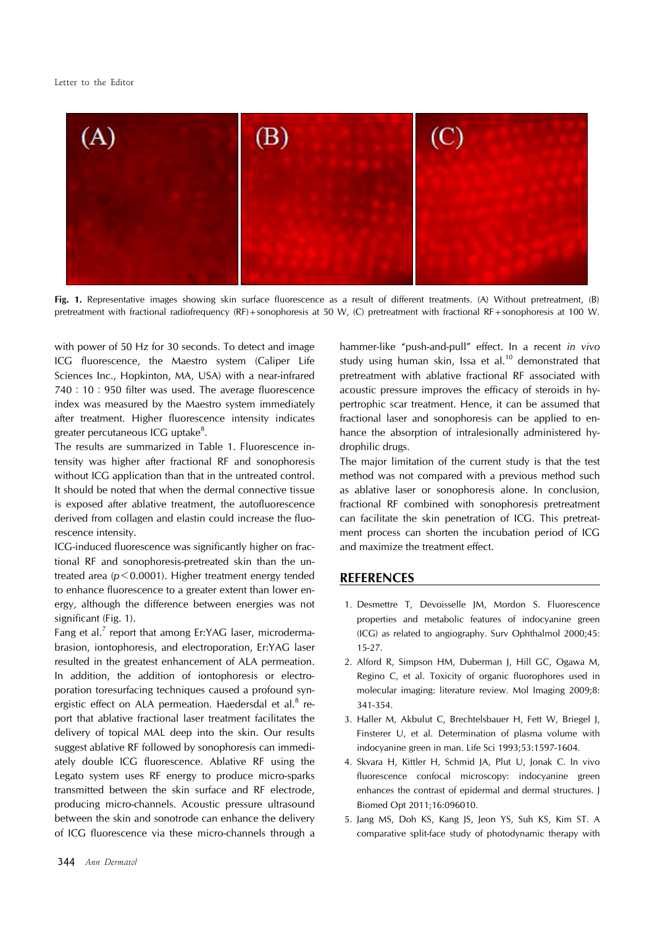

**Fig. 1.** Representative images showing skin surface fluorescence as a result of different treatments. (A) Without pretreatment, (B) pretreatment with fractional radiofrequency (RF)+sonophoresis at 50 W, (C) pretreatment with fractional RF+sonophoresis at 100 W.

with power of 50 Hz for 30 seconds. To detect and image ICG fluorescence, the Maestro system (Caliper Life Sciences Inc., Hopkinton, MA, USA) with a near-infrared 740:10:950 filter was used. The average fluorescence index was measured by the Maestro system immediately after treatment. Higher fluorescence intensity indicates greater percutaneous ICG uptake $^{\rm 8}.$ 

The results are summarized in Table 1. Fluorescence intensity was higher after fractional RF and sonophoresis without ICG application than that in the untreated control. It should be noted that when the dermal connective tissue is exposed after ablative treatment, the autofluorescence derived from collagen and elastin could increase the fluorescence intensity.

ICG-induced fluorescence was significantly higher on fractional RF and sonophoresis-pretreated skin than the untreated area (*p*<0.0001). Higher treatment energy tended to enhance fluorescence to a greater extent than lower energy, although the difference between energies was not significant (Fig. 1).

Fang et al.<sup>7</sup> report that among Er:YAG laser, microdermabrasion, iontophoresis, and electroporation, Er:YAG laser resulted in the greatest enhancement of ALA permeation. In addition, the addition of iontophoresis or electroporation toresurfacing techniques caused a profound synergistic effect on ALA permeation. Haedersdal et al.<sup>8</sup> report that ablative fractional laser treatment facilitates the delivery of topical MAL deep into the skin. Our results suggest ablative RF followed by sonophoresis can immediately double ICG fluorescence. Ablative RF using the Legato system uses RF energy to produce micro-sparks transmitted between the skin surface and RF electrode, producing micro-channels. Acoustic pressure ultrasound between the skin and sonotrode can enhance the delivery of ICG fluorescence via these micro-channels through a hammer-like "push-and-pull" effect. In a recent *in vivo*  study using human skin, Issa et al.<sup>10</sup> demonstrated that pretreatment with ablative fractional RF associated with acoustic pressure improves the efficacy of steroids in hypertrophic scar treatment. Hence, it can be assumed that fractional laser and sonophoresis can be applied to enhance the absorption of intralesionally administered hydrophilic drugs.

The major limitation of the current study is that the test method was not compared with a previous method such as ablative laser or sonophoresis alone. In conclusion, fractional RF combined with sonophoresis pretreatment can facilitate the skin penetration of ICG. This pretreatment process can shorten the incubation period of ICG and maximize the treatment effect.

## **REFERENCES**

- 1. Desmettre T, Devoisselle JM, Mordon S. Fluorescence properties and metabolic features of indocyanine green (ICG) as related to angiography. Surv Ophthalmol 2000;45: 15-27.
- 2. Alford R, Simpson HM, Duberman J, Hill GC, Ogawa M, Regino C, et al. Toxicity of organic fluorophores used in molecular imaging: literature review. Mol Imaging 2009;8: 341-354.
- 3. Haller M, Akbulut C, Brechtelsbauer H, Fett W, Briegel J, Finsterer U, et al. Determination of plasma volume with indocyanine green in man. Life Sci 1993;53:1597-1604.
- 4. Skvara H, Kittler H, Schmid JA, Plut U, Jonak C. In vivo fluorescence confocal microscopy: indocyanine green enhances the contrast of epidermal and dermal structures. J Biomed Opt 2011;16:096010.
- 5. Jang MS, Doh KS, Kang JS, Jeon YS, Suh KS, Kim ST. A comparative split-face study of photodynamic therapy with